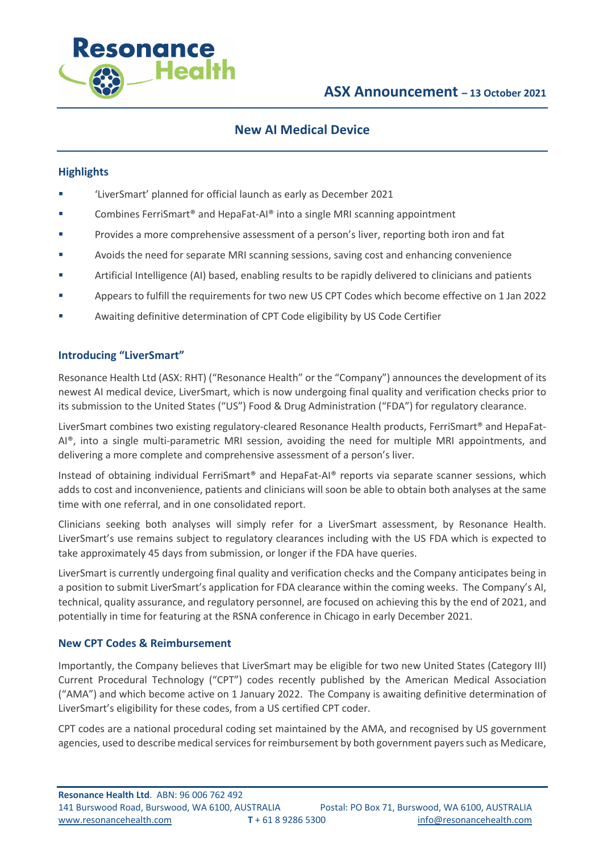

# **New AI Medical Device**

## **Highlights**

- § 'LiverSmart' planned for official launch as early as December 2021
- Combines FerriSmart<sup>®</sup> and HepaFat-Al® into a single MRI scanning appointment
- § Provides a more comprehensive assessment of a person's liver, reporting both iron and fat
- **EXECT** Avoids the need for separate MRI scanning sessions, saving cost and enhancing convenience
- **EXECUTE:** Artificial Intelligence (AI) based, enabling results to be rapidly delivered to clinicians and patients
- § Appears to fulfill the requirements for two new US CPT Codes which become effective on 1 Jan 2022
- **■** Awaiting definitive determination of CPT Code eligibility by US Code Certifier

### **Introducing "LiverSmart"**

Resonance Health Ltd (ASX: RHT) ("Resonance Health" or the "Company") announces the development of its newest AI medical device, LiverSmart, which is now undergoing final quality and verification checks prior to its submission to the United States ("US") Food & Drug Administration ("FDA") for regulatory clearance.

LiverSmart combines two existing regulatory-cleared Resonance Health products, FerriSmart® and HepaFat-AI®, into a single multi-parametric MRI session, avoiding the need for multiple MRI appointments, and delivering a more complete and comprehensive assessment of a person's liver.

Instead of obtaining individual FerriSmart® and HepaFat-AI® reports via separate scanner sessions, which adds to cost and inconvenience, patients and clinicians will soon be able to obtain both analyses at the same time with one referral, and in one consolidated report.

Clinicians seeking both analyses will simply refer for a LiverSmart assessment, by Resonance Health. LiverSmart's use remains subject to regulatory clearances including with the US FDA which is expected to take approximately 45 days from submission, or longer if the FDA have queries.

LiverSmart is currently undergoing final quality and verification checks and the Company anticipates being in a position to submit LiverSmart's application for FDA clearance within the coming weeks. The Company's AI, technical, quality assurance, and regulatory personnel, are focused on achieving this by the end of 2021, and potentially in time for featuring at the RSNA conference in Chicago in early December 2021.

## **New CPT Codes & Reimbursement**

Importantly, the Company believes that LiverSmart may be eligible for two new United States (Category III) Current Procedural Technology ("CPT") codes recently published by the American Medical Association ("AMA") and which become active on 1 January 2022. The Company is awaiting definitive determination of LiverSmart's eligibility for these codes, from a US certified CPT coder.

CPT codes are a national procedural coding set maintained by the AMA, and recognised by US government agencies, used to describe medical services for reimbursement by both government payers such as Medicare,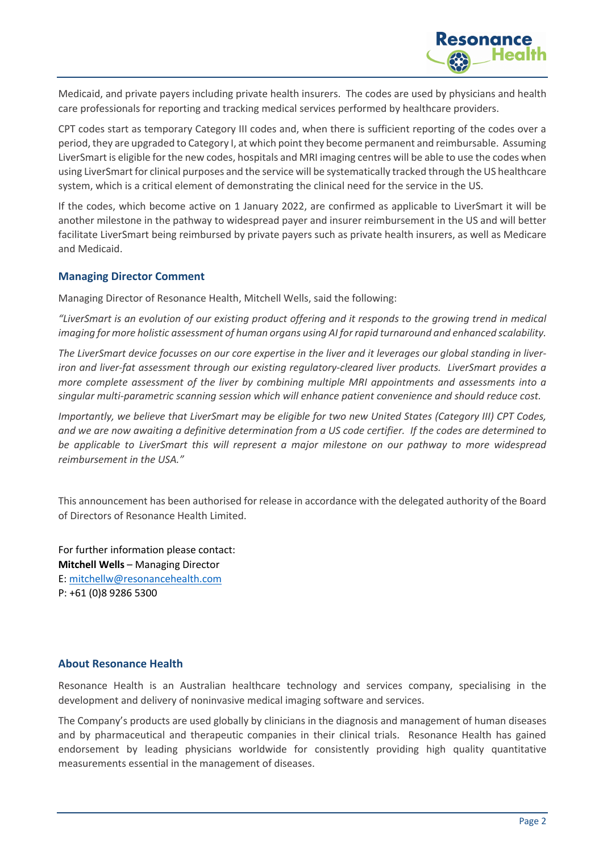

Medicaid, and private payers including private health insurers. The codes are used by physicians and health care professionals for reporting and tracking medical services performed by healthcare providers.

CPT codes start as temporary Category III codes and, when there is sufficient reporting of the codes over a period, they are upgraded to Category I, at which point they become permanent and reimbursable. Assuming LiverSmart is eligible for the new codes, hospitals and MRI imaging centres will be able to use the codes when using LiverSmart for clinical purposes and the service will be systematically tracked through the US healthcare system, which is a critical element of demonstrating the clinical need for the service in the US.

If the codes, which become active on 1 January 2022, are confirmed as applicable to LiverSmart it will be another milestone in the pathway to widespread payer and insurer reimbursement in the US and will better facilitate LiverSmart being reimbursed by private payers such as private health insurers, as well as Medicare and Medicaid.

## **Managing Director Comment**

Managing Director of Resonance Health, Mitchell Wells, said the following:

*"LiverSmart is an evolution of our existing product offering and it responds to the growing trend in medical imaging for more holistic assessment of human organs using AI for rapid turnaround and enhanced scalability.* 

*The LiverSmart device focusses on our core expertise in the liver and it leverages our global standing in liveriron and liver-fat assessment through our existing regulatory-cleared liver products. LiverSmart provides a more complete assessment of the liver by combining multiple MRI appointments and assessments into a singular multi-parametric scanning session which will enhance patient convenience and should reduce cost.* 

*Importantly, we believe that LiverSmart may be eligible for two new United States (Category III) CPT Codes, and we are now awaiting a definitive determination from a US code certifier. If the codes are determined to be applicable to LiverSmart this will represent a major milestone on our pathway to more widespread reimbursement in the USA."* 

This announcement has been authorised for release in accordance with the delegated authority of the Board of Directors of Resonance Health Limited.

For further information please contact: **Mitchell Wells** – Managing Director E: mitchellw@resonancehealth.com P: +61 (0)8 9286 5300

## **About Resonance Health**

Resonance Health is an Australian healthcare technology and services company, specialising in the development and delivery of noninvasive medical imaging software and services.

The Company's products are used globally by clinicians in the diagnosis and management of human diseases and by pharmaceutical and therapeutic companies in their clinical trials. Resonance Health has gained endorsement by leading physicians worldwide for consistently providing high quality quantitative measurements essential in the management of diseases.